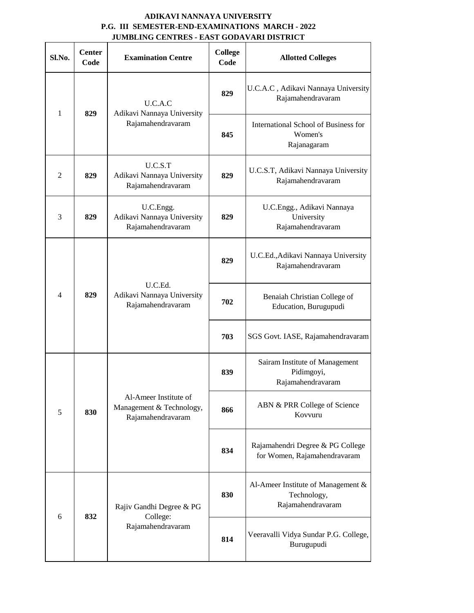## **ADIKAVI NANNAYA UNIVERSITY P.G. III SEMESTER-END-EXAMINATIONS MARCH - 2022 JUMBLING CENTRES - EAST GODAVARI DISTRICT**

| Sl.No.         | <b>Center</b><br>Code | <b>Examination Centre</b>                                              | <b>College</b><br>Code | <b>Allotted Colleges</b>                                               |
|----------------|-----------------------|------------------------------------------------------------------------|------------------------|------------------------------------------------------------------------|
| $\mathbf{1}$   | 829                   | U.C.A.C<br>Adikavi Nannaya University<br>Rajamahendravaram             | 829                    | U.C.A.C, Adikavi Nannaya University<br>Rajamahendravaram               |
|                |                       |                                                                        | 845                    | International School of Business for<br>Women's<br>Rajanagaram         |
| $\overline{c}$ | 829                   | U.C.S.T<br>Adikavi Nannaya University<br>Rajamahendravaram             | 829                    | U.C.S.T, Adikavi Nannaya University<br>Rajamahendravaram               |
| 3              | 829                   | U.C.Engg.<br>Adikavi Nannaya University<br>Rajamahendravaram           | 829                    | U.C.Engg., Adikavi Nannaya<br>University<br>Rajamahendravaram          |
| $\overline{4}$ | 829                   | U.C.Ed.<br>Adikavi Nannaya University<br>Rajamahendravaram             | 829                    | U.C.Ed., Adikavi Nannaya University<br>Rajamahendravaram               |
|                |                       |                                                                        | 702                    | Benaiah Christian College of<br>Education, Burugupudi                  |
|                |                       |                                                                        | 703                    | SGS Govt. IASE, Rajamahendravaram                                      |
| 5              | 830                   | Al-Ameer Institute of<br>Management & Technology,<br>Rajamahendravaram | 839                    | Sairam Institute of Management<br>Pidimgoyi,<br>Rajamahendravaram      |
|                |                       |                                                                        | 866                    | ABN & PRR College of Science<br>Kovvuru                                |
|                |                       |                                                                        | 834                    | Rajamahendri Degree & PG College<br>for Women, Rajamahendravaram       |
| 6              | 832                   | Rajiv Gandhi Degree & PG<br>College:<br>Rajamahendravaram              | 830                    | Al-Ameer Institute of Management &<br>Technology,<br>Rajamahendravaram |
|                |                       |                                                                        | 814                    | Veeravalli Vidya Sundar P.G. College,<br>Burugupudi                    |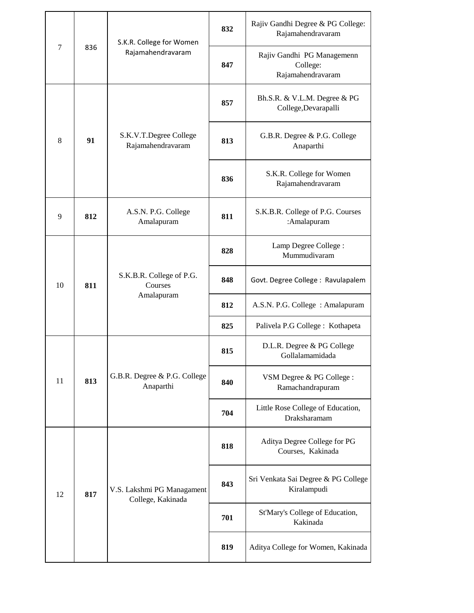| $\tau$ | 836 | S.K.R. College for Women<br>Rajamahendravaram     | 832 | Rajiv Gandhi Degree & PG College:<br>Rajamahendravaram      |
|--------|-----|---------------------------------------------------|-----|-------------------------------------------------------------|
|        |     |                                                   | 847 | Rajiv Gandhi PG Managemenn<br>College:<br>Rajamahendravaram |
| 8      | 91  | S.K.V.T.Degree College<br>Rajamahendravaram       | 857 | Bh.S.R. & V.L.M. Degree & PG<br>College, Devarapalli        |
|        |     |                                                   | 813 | G.B.R. Degree & P.G. College<br>Anaparthi                   |
|        |     |                                                   | 836 | S.K.R. College for Women<br>Rajamahendravaram               |
| 9      | 812 | A.S.N. P.G. College<br>Amalapuram                 | 811 | S.K.B.R. College of P.G. Courses<br>:Amalapuram             |
| 10     | 811 | S.K.B.R. College of P.G.<br>Courses<br>Amalapuram | 828 | Lamp Degree College:<br>Mummudivaram                        |
|        |     |                                                   | 848 | Govt. Degree College: Ravulapalem                           |
|        |     |                                                   | 812 | A.S.N. P.G. College: Amalapuram                             |
|        |     |                                                   | 825 | Palivela P.G College : Kothapeta                            |
| 11     | 813 | G.B.R. Degree & P.G. College<br>Anaparthi         | 815 | D.L.R. Degree & PG College<br>Gollalamamidada               |
|        |     |                                                   | 840 | VSM Degree & PG College :<br>Ramachandrapuram               |
|        |     |                                                   | 704 | Little Rose College of Education,<br>Draksharamam           |
| 12     | 817 | V.S. Lakshmi PG Managament<br>College, Kakinada   | 818 | Aditya Degree College for PG<br>Courses, Kakinada           |
|        |     |                                                   | 843 | Sri Venkata Sai Degree & PG College<br>Kiralampudi          |
|        |     |                                                   | 701 | St'Mary's College of Education,<br>Kakinada                 |
|        |     |                                                   | 819 | Aditya College for Women, Kakinada                          |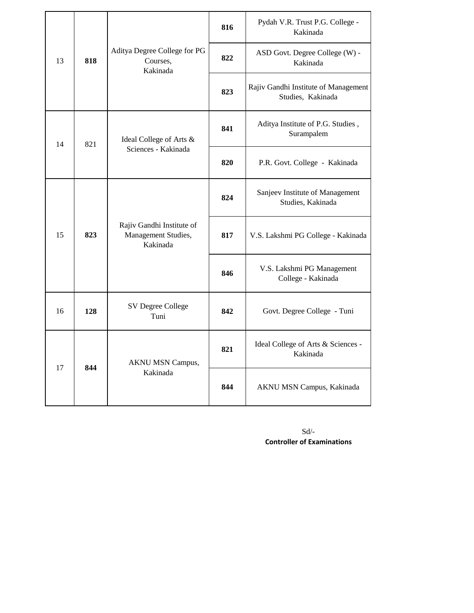|    |     |                                                              | 816 | Pydah V.R. Trust P.G. College -<br>Kakinada               |
|----|-----|--------------------------------------------------------------|-----|-----------------------------------------------------------|
| 13 | 818 | Aditya Degree College for PG<br>Courses,<br>Kakinada         | 822 | ASD Govt. Degree College (W) -<br>Kakinada                |
|    |     |                                                              | 823 | Rajiv Gandhi Institute of Management<br>Studies, Kakinada |
| 14 | 821 | Ideal College of Arts &<br>Sciences - Kakinada               | 841 | Aditya Institute of P.G. Studies,<br>Surampalem           |
|    |     |                                                              | 820 | P.R. Govt. College - Kakinada                             |
| 15 | 823 | Rajiv Gandhi Institute of<br>Management Studies,<br>Kakinada | 824 | Sanjeev Institute of Management<br>Studies, Kakinada      |
|    |     |                                                              | 817 | V.S. Lakshmi PG College - Kakinada                        |
|    |     |                                                              | 846 | V.S. Lakshmi PG Management<br>College - Kakinada          |
| 16 | 128 | SV Degree College<br>Tuni                                    | 842 | Govt. Degree College - Tuni                               |
| 17 | 844 | AKNU MSN Campus,<br>Kakinada                                 | 821 | Ideal College of Arts & Sciences -<br>Kakinada            |
|    |     |                                                              | 844 | AKNU MSN Campus, Kakinada                                 |

Sd/- **Controller of Examinations**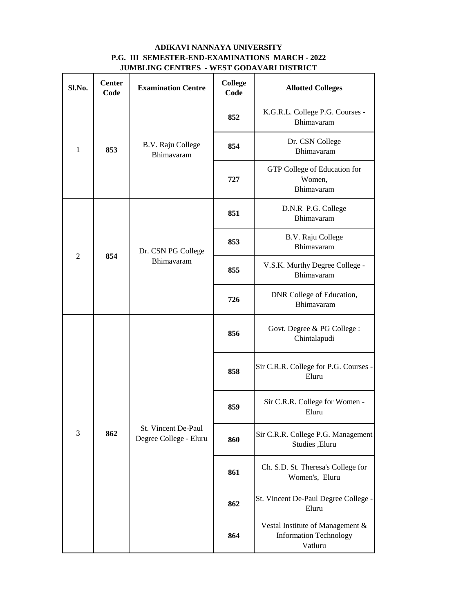## **JUMBLING CENTRES - WEST GODAVARI DISTRICT ADIKAVI NANNAYA UNIVERSITY P.G. III SEMESTER-END-EXAMINATIONS MARCH - 2022**

| Sl.No.         | <b>Center</b><br>Code | <b>Examination Centre</b>                     | <b>College</b><br>Code | <b>Allotted Colleges</b>                                                     |
|----------------|-----------------------|-----------------------------------------------|------------------------|------------------------------------------------------------------------------|
| $\mathbf{1}$   | 853                   | B.V. Raju College<br>Bhimavaram               | 852                    | K.G.R.L. College P.G. Courses -<br>Bhimavaram                                |
|                |                       |                                               | 854                    | Dr. CSN College<br>Bhimavaram                                                |
|                |                       |                                               | 727                    | GTP College of Education for<br>Women,<br>Bhimavaram                         |
|                | 854                   | Dr. CSN PG College<br>Bhimavaram              | 851                    | D.N.R P.G. College<br>Bhimavaram                                             |
|                |                       |                                               | 853                    | B.V. Raju College<br>Bhimavaram                                              |
| $\overline{2}$ |                       |                                               | 855                    | V.S.K. Murthy Degree College -<br>Bhimavaram                                 |
|                |                       |                                               | 726                    | DNR College of Education,<br>Bhimavaram                                      |
| 3              | 862                   | St. Vincent De-Paul<br>Degree College - Eluru | 856                    | Govt. Degree & PG College :<br>Chintalapudi                                  |
|                |                       |                                               | 858                    | Sir C.R.R. College for P.G. Courses -<br>Eluru                               |
|                |                       |                                               | 859                    | Sir C.R.R. College for Women -<br>Eluru                                      |
|                |                       |                                               | 860                    | Sir C.R.R. College P.G. Management<br>Studies, Eluru                         |
|                |                       |                                               | 861                    | Ch. S.D. St. Theresa's College for<br>Women's, Eluru                         |
|                |                       |                                               | 862                    | St. Vincent De-Paul Degree College -<br>Eluru                                |
|                |                       |                                               | 864                    | Vestal Institute of Management &<br><b>Information Technology</b><br>Vatluru |